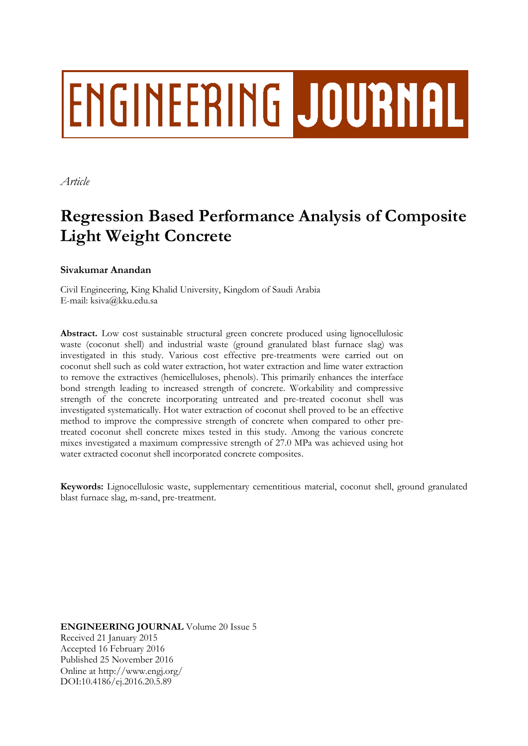# **ENGINEERING JOURNAL**

*Article*

# **Regression Based Performance Analysis of Composite Light Weight Concrete**

# **Sivakumar Anandan**

Civil Engineering, King Khalid University, Kingdom of Saudi Arabia E-mail: ksiva@kku.edu.sa

**Abstract.** Low cost sustainable structural green concrete produced using lignocellulosic waste (coconut shell) and industrial waste (ground granulated blast furnace slag) was investigated in this study. Various cost effective pre-treatments were carried out on coconut shell such as cold water extraction, hot water extraction and lime water extraction to remove the extractives (hemicelluloses, phenols). This primarily enhances the interface bond strength leading to increased strength of concrete. Workability and compressive strength of the concrete incorporating untreated and pre-treated coconut shell was investigated systematically. Hot water extraction of coconut shell proved to be an effective method to improve the compressive strength of concrete when compared to other pretreated coconut shell concrete mixes tested in this study. Among the various concrete mixes investigated a maximum compressive strength of 27.0 MPa was achieved using hot water extracted coconut shell incorporated concrete composites.

**Keywords:** Lignocellulosic waste, supplementary cementitious material, coconut shell, ground granulated blast furnace slag, m-sand, pre-treatment.

**ENGINEERING JOURNAL** Volume 20 Issue 5 Received 21 January 2015 Accepted 16 February 2016 Published 25 November 2016 Online at http://www.engj.org/ DOI:10.4186/ej.2016.20.5.89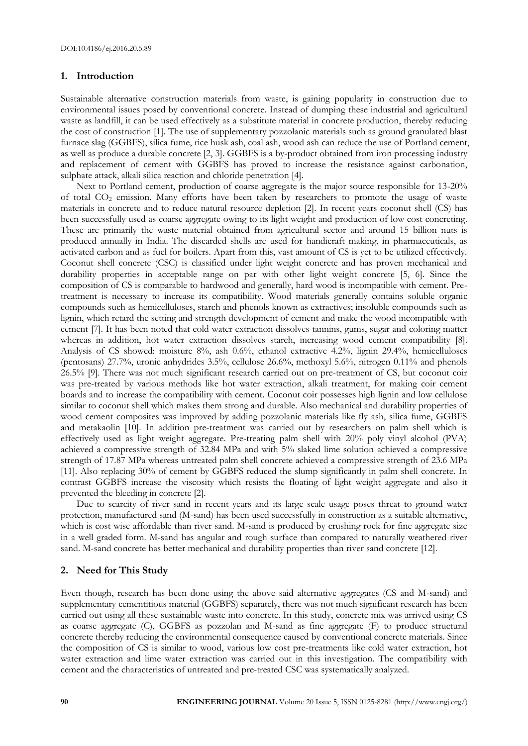#### **1. Introduction**

Sustainable alternative construction materials from waste, is gaining popularity in construction due to environmental issues posed by conventional concrete. Instead of dumping these industrial and agricultural waste as landfill, it can be used effectively as a substitute material in concrete production, thereby reducing the cost of construction [1]. The use of supplementary pozzolanic materials such as ground granulated blast furnace slag (GGBFS), silica fume, rice husk ash, coal ash, wood ash can reduce the use of Portland cement, as well as produce a durable concrete [2, 3]. GGBFS is a by-product obtained from iron processing industry and replacement of cement with GGBFS has proved to increase the resistance against carbonation, sulphate attack, alkali silica reaction and chloride penetration [4].

Next to Portland cement, production of coarse aggregate is the major source responsible for 13-20% of total CO<sup>2</sup> emission. Many efforts have been taken by researchers to promote the usage of waste materials in concrete and to reduce natural resource depletion [2]. In recent years coconut shell (CS) has been successfully used as coarse aggregate owing to its light weight and production of low cost concreting. These are primarily the waste material obtained from agricultural sector and around 15 billion nuts is produced annually in India. The discarded shells are used for handicraft making, in pharmaceuticals, as activated carbon and as fuel for boilers. Apart from this, vast amount of CS is yet to be utilized effectively. Coconut shell concrete (CSC) is classified under light weight concrete and has proven mechanical and durability properties in acceptable range on par with other light weight concrete [5, 6]. Since the composition of CS is comparable to hardwood and generally, hard wood is incompatible with cement. Pretreatment is necessary to increase its compatibility. Wood materials generally contains soluble organic compounds such as hemicelluloses, starch and phenols known as extractives; insoluble compounds such as lignin, which retard the setting and strength development of cement and make the wood incompatible with cement [7]. It has been noted that cold water extraction dissolves tannins, gums, sugar and coloring matter whereas in addition, hot water extraction dissolves starch, increasing wood cement compatibility [8]. Analysis of CS showed: moisture 8%, ash 0.6%, ethanol extractive 4.2%, lignin 29.4%, hemicelluloses (pentosans) 27.7%, uronic anhydrides 3.5%, cellulose 26.6%, methoxyl 5.6%, nitrogen 0.11% and phenols 26.5% [9]. There was not much significant research carried out on pre-treatment of CS, but coconut coir was pre-treated by various methods like hot water extraction, alkali treatment, for making coir cement boards and to increase the compatibility with cement. Coconut coir possesses high lignin and low cellulose similar to coconut shell which makes them strong and durable. Also mechanical and durability properties of wood cement composites was improved by adding pozzolanic materials like fly ash, silica fume, GGBFS and metakaolin [10]. In addition pre-treatment was carried out by researchers on palm shell which is effectively used as light weight aggregate. Pre-treating palm shell with 20% poly vinyl alcohol (PVA) achieved a compressive strength of 32.84 MPa and with 5% slaked lime solution achieved a compressive strength of 17.87 MPa whereas untreated palm shell concrete achieved a compressive strength of 23.6 MPa [11]. Also replacing 30% of cement by GGBFS reduced the slump significantly in palm shell concrete. In contrast GGBFS increase the viscosity which resists the floating of light weight aggregate and also it prevented the bleeding in concrete [2].

Due to scarcity of river sand in recent years and its large scale usage poses threat to ground water protection, manufactured sand (M-sand) has been used successfully in construction as a suitable alternative, which is cost wise affordable than river sand. M-sand is produced by crushing rock for fine aggregate size in a well graded form. M-sand has angular and rough surface than compared to naturally weathered river sand. M-sand concrete has better mechanical and durability properties than river sand concrete [12].

# **2. Need for This Study**

Even though, research has been done using the above said alternative aggregates (CS and M-sand) and supplementary cementitious material (GGBFS) separately, there was not much significant research has been carried out using all these sustainable waste into concrete. In this study, concrete mix was arrived using CS as coarse aggregate (C), GGBFS as pozzolan and M-sand as fine aggregate (F) to produce structural concrete thereby reducing the environmental consequence caused by conventional concrete materials. Since the composition of CS is similar to wood, various low cost pre-treatments like cold water extraction, hot water extraction and lime water extraction was carried out in this investigation. The compatibility with cement and the characteristics of untreated and pre-treated CSC was systematically analyzed.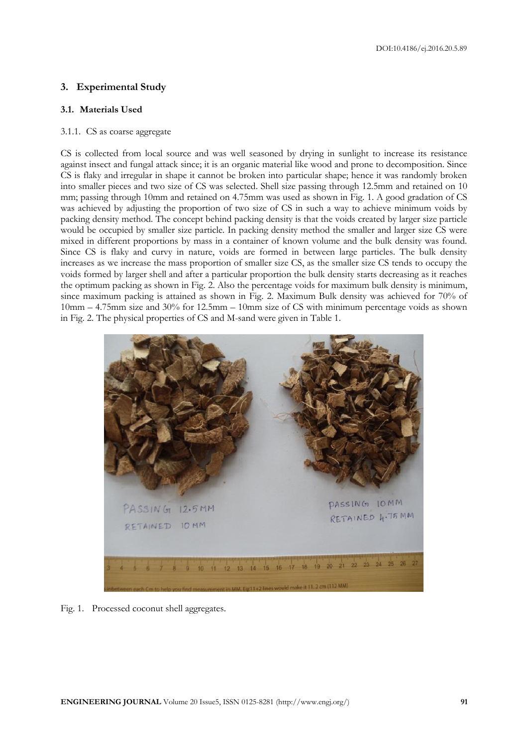# **3. Experimental Study**

# **3.1. Materials Used**

# 3.1.1. CS as coarse aggregate

CS is collected from local source and was well seasoned by drying in sunlight to increase its resistance against insect and fungal attack since; it is an organic material like wood and prone to decomposition. Since CS is flaky and irregular in shape it cannot be broken into particular shape; hence it was randomly broken into smaller pieces and two size of CS was selected. Shell size passing through 12.5mm and retained on 10 mm; passing through 10mm and retained on 4.75mm was used as shown in Fig. 1. A good gradation of CS was achieved by adjusting the proportion of two size of CS in such a way to achieve minimum voids by packing density method. The concept behind packing density is that the voids created by larger size particle would be occupied by smaller size particle. In packing density method the smaller and larger size CS were mixed in different proportions by mass in a container of known volume and the bulk density was found. Since CS is flaky and curvy in nature, voids are formed in between large particles. The bulk density increases as we increase the mass proportion of smaller size CS, as the smaller size CS tends to occupy the voids formed by larger shell and after a particular proportion the bulk density starts decreasing as it reaches the optimum packing as shown in Fig. 2. Also the percentage voids for maximum bulk density is minimum, since maximum packing is attained as shown in Fig. 2. Maximum Bulk density was achieved for 70% of 10mm – 4.75mm size and 30% for 12.5mm – 10mm size of CS with minimum percentage voids as shown in Fig. 2. The physical properties of CS and M-sand were given in Table 1.



Fig. 1. Processed coconut shell aggregates.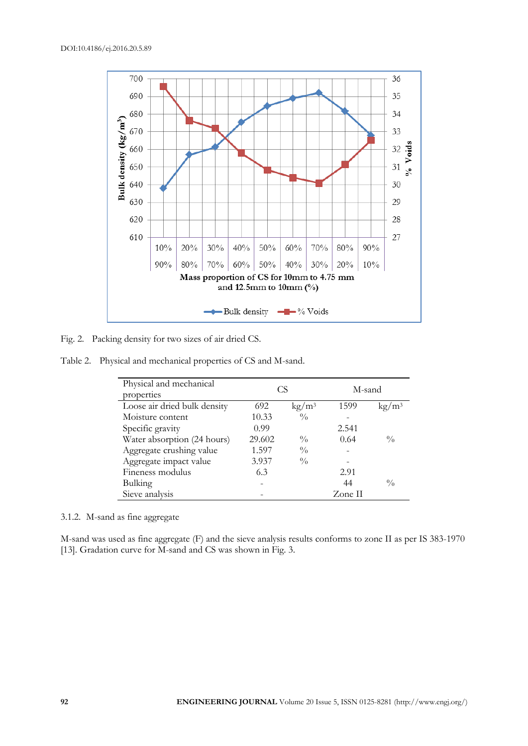

Fig. 2. Packing density for two sizes of air dried CS.

Table 2. Physical and mechanical properties of CS and M-sand.

| Physical and mechanical      |        | CS                     | M-sand  |                   |
|------------------------------|--------|------------------------|---------|-------------------|
| properties                   |        |                        |         |                   |
| Loose air dried bulk density | 692    | $\text{kg}/\text{m}^3$ | 1599    | kg/m <sup>3</sup> |
| Moisture content             | 10.33  | $\frac{0}{0}$          |         |                   |
| Specific gravity             | 0.99   |                        | 2.541   |                   |
| Water absorption (24 hours)  | 29.602 | $\frac{0}{0}$          | 0.64    | $\frac{0}{0}$     |
| Aggregate crushing value     | 1.597  | $\frac{0}{0}$          |         |                   |
| Aggregate impact value       | 3.937  | $\frac{0}{0}$          |         |                   |
| Fineness modulus             | 6.3    |                        | 2.91    |                   |
| Bulking                      |        |                        | 44      | $\frac{0}{0}$     |
| Sieve analysis               |        |                        | Zone II |                   |

3.1.2. M-sand as fine aggregate

M-sand was used as fine aggregate (F) and the sieve analysis results conforms to zone II as per IS 383-1970 [13]. Gradation curve for M-sand and CS was shown in Fig. 3.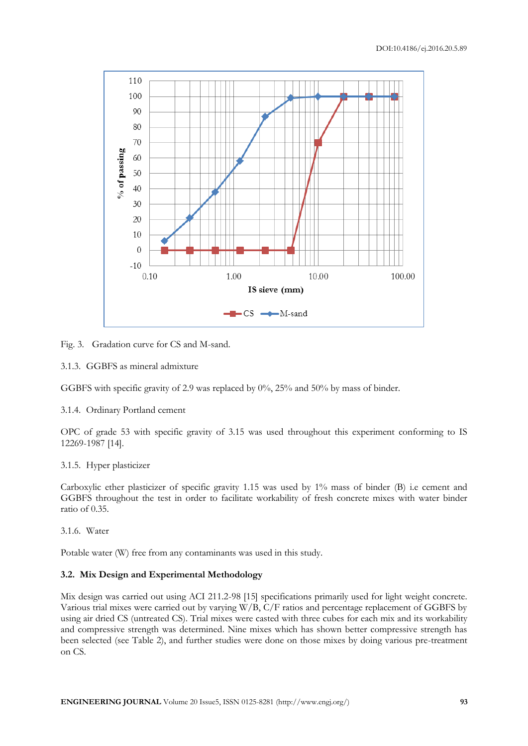

Fig. 3. Gradation curve for CS and M-sand.

3.1.3. GGBFS as mineral admixture

GGBFS with specific gravity of 2.9 was replaced by 0%, 25% and 50% by mass of binder.

3.1.4. Ordinary Portland cement

OPC of grade 53 with specific gravity of 3.15 was used throughout this experiment conforming to IS 12269-1987 [14].

# 3.1.5. Hyper plasticizer

Carboxylic ether plasticizer of specific gravity 1.15 was used by 1% mass of binder (B) i.e cement and GGBFS throughout the test in order to facilitate workability of fresh concrete mixes with water binder ratio of 0.35.

3.1.6. Water

Potable water (W) free from any contaminants was used in this study.

# **3.2. Mix Design and Experimental Methodology**

Mix design was carried out using ACI 211.2-98 [15] specifications primarily used for light weight concrete. Various trial mixes were carried out by varying W/B, C/F ratios and percentage replacement of GGBFS by using air dried CS (untreated CS). Trial mixes were casted with three cubes for each mix and its workability and compressive strength was determined. Nine mixes which has shown better compressive strength has been selected (see Table 2), and further studies were done on those mixes by doing various pre-treatment on CS.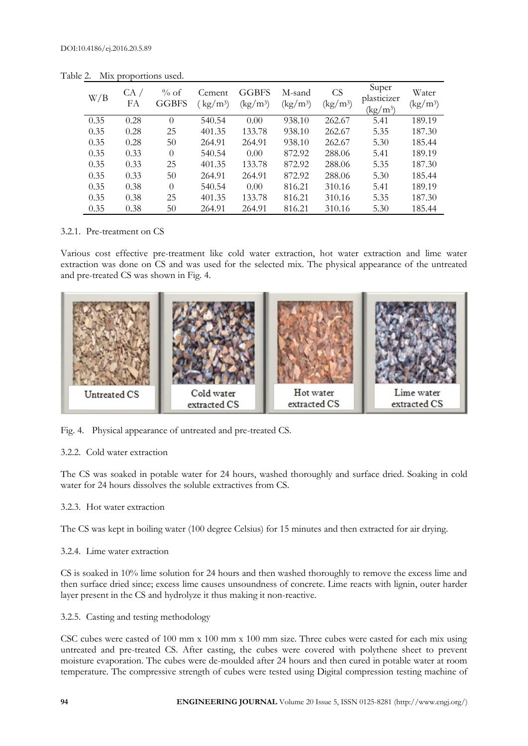| W/B  | CA /<br>FА | % of<br><b>GGBFS</b> | Cement<br>$\text{kg}/\text{m}^3$ | <b>GGBFS</b><br>$\frac{\text{kg}}{\text{m}^3}$ | M-sand<br>$\frac{\text{kg}}{\text{m}^3}$ | <b>CS</b><br>$\left(\frac{\text{kg}}{\text{m}^3}\right)$ | Super<br>plasticizer<br>$\left({\rm kg}/{\rm m}^3\right)$ | Water<br>$\left(\frac{\text{kg}}{\text{m}^3}\right)$ |
|------|------------|----------------------|----------------------------------|------------------------------------------------|------------------------------------------|----------------------------------------------------------|-----------------------------------------------------------|------------------------------------------------------|
| 0.35 | 0.28       | $\Omega$             | 540.54                           | 0.00                                           | 938.10                                   | 262.67                                                   | 5.41                                                      | 189.19                                               |
| 0.35 | 0.28       | 25                   | 401.35                           | 133.78                                         | 938.10                                   | 262.67                                                   | 5.35                                                      | 187.30                                               |
| 0.35 | 0.28       | 50                   | 264.91                           | 264.91                                         | 938.10                                   | 262.67                                                   | 5.30                                                      | 185.44                                               |
| 0.35 | 0.33       | $\Omega$             | 540.54                           | 0.00                                           | 872.92                                   | 288.06                                                   | 5.41                                                      | 189.19                                               |
| 0.35 | 0.33       | 25                   | 401.35                           | 133.78                                         | 872.92                                   | 288.06                                                   | 5.35                                                      | 187.30                                               |
| 0.35 | 0.33       | 50                   | 264.91                           | 264.91                                         | 872.92                                   | 288.06                                                   | 5.30                                                      | 185.44                                               |
| 0.35 | 0.38       | $\Omega$             | 540.54                           | 0.00                                           | 816.21                                   | 310.16                                                   | 5.41                                                      | 189.19                                               |
| 0.35 | 0.38       | 25                   | 401.35                           | 133.78                                         | 816.21                                   | 310.16                                                   | 5.35                                                      | 187.30                                               |
| 0.35 | 0.38       | 50                   | 264.91                           | 264.91                                         | 816.21                                   | 310.16                                                   | 5.30                                                      | 185.44                                               |

Table 2. Mix proportions used.

#### 3.2.1. Pre-treatment on CS

Various cost effective pre-treatment like cold water extraction, hot water extraction and lime water extraction was done on CS and was used for the selected mix. The physical appearance of the untreated and pre-treated CS was shown in Fig. 4.



Fig. 4. Physical appearance of untreated and pre-treated CS.

# 3.2.2. Cold water extraction

The CS was soaked in potable water for 24 hours, washed thoroughly and surface dried. Soaking in cold water for 24 hours dissolves the soluble extractives from CS.

# 3.2.3. Hot water extraction

The CS was kept in boiling water (100 degree Celsius) for 15 minutes and then extracted for air drying.

#### 3.2.4. Lime water extraction

CS is soaked in 10% lime solution for 24 hours and then washed thoroughly to remove the excess lime and then surface dried since; excess lime causes unsoundness of concrete. Lime reacts with lignin, outer harder layer present in the CS and hydrolyze it thus making it non-reactive.

3.2.5. Casting and testing methodology

CSC cubes were casted of 100 mm x 100 mm x 100 mm size. Three cubes were casted for each mix using untreated and pre-treated CS. After casting, the cubes were covered with polythene sheet to prevent moisture evaporation. The cubes were de-moulded after 24 hours and then cured in potable water at room temperature. The compressive strength of cubes were tested using Digital compression testing machine of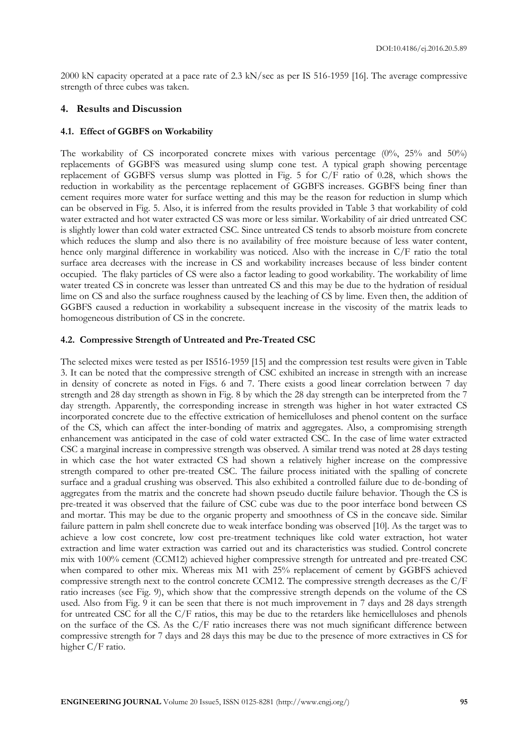2000 kN capacity operated at a pace rate of 2.3 kN/sec as per IS 516-1959 [16]. The average compressive strength of three cubes was taken.

#### **4. Results and Discussion**

#### **4.1. Effect of GGBFS on Workability**

The workability of CS incorporated concrete mixes with various percentage (0%, 25% and 50%) replacements of GGBFS was measured using slump cone test. A typical graph showing percentage replacement of GGBFS versus slump was plotted in Fig. 5 for C/F ratio of 0.28, which shows the reduction in workability as the percentage replacement of GGBFS increases. GGBFS being finer than cement requires more water for surface wetting and this may be the reason for reduction in slump which can be observed in Fig. 5. Also, it is inferred from the results provided in Table 3 that workability of cold water extracted and hot water extracted CS was more or less similar. Workability of air dried untreated CSC is slightly lower than cold water extracted CSC. Since untreated CS tends to absorb moisture from concrete which reduces the slump and also there is no availability of free moisture because of less water content, hence only marginal difference in workability was noticed. Also with the increase in C/F ratio the total surface area decreases with the increase in CS and workability increases because of less binder content occupied. The flaky particles of CS were also a factor leading to good workability. The workability of lime water treated CS in concrete was lesser than untreated CS and this may be due to the hydration of residual lime on CS and also the surface roughness caused by the leaching of CS by lime. Even then, the addition of GGBFS caused a reduction in workability a subsequent increase in the viscosity of the matrix leads to homogeneous distribution of CS in the concrete.

#### **4.2. Compressive Strength of Untreated and Pre-Treated CSC**

The selected mixes were tested as per IS516-1959 [15] and the compression test results were given in Table 3. It can be noted that the compressive strength of CSC exhibited an increase in strength with an increase in density of concrete as noted in Figs. 6 and 7. There exists a good linear correlation between 7 day strength and 28 day strength as shown in Fig. 8 by which the 28 day strength can be interpreted from the 7 day strength. Apparently, the corresponding increase in strength was higher in hot water extracted CS incorporated concrete due to the effective extrication of hemicelluloses and phenol content on the surface of the CS, which can affect the inter-bonding of matrix and aggregates. Also, a compromising strength enhancement was anticipated in the case of cold water extracted CSC. In the case of lime water extracted CSC a marginal increase in compressive strength was observed. A similar trend was noted at 28 days testing in which case the hot water extracted CS had shown a relatively higher increase on the compressive strength compared to other pre-treated CSC. The failure process initiated with the spalling of concrete surface and a gradual crushing was observed. This also exhibited a controlled failure due to de-bonding of aggregates from the matrix and the concrete had shown pseudo ductile failure behavior. Though the CS is pre-treated it was observed that the failure of CSC cube was due to the poor interface bond between CS and mortar. This may be due to the organic property and smoothness of CS in the concave side. Similar failure pattern in palm shell concrete due to weak interface bonding was observed [10]. As the target was to achieve a low cost concrete, low cost pre-treatment techniques like cold water extraction, hot water extraction and lime water extraction was carried out and its characteristics was studied. Control concrete mix with 100% cement (CCM12) achieved higher compressive strength for untreated and pre-treated CSC when compared to other mix. Whereas mix M1 with 25% replacement of cement by GGBFS achieved compressive strength next to the control concrete CCM12. The compressive strength decreases as the C/F ratio increases (see Fig. 9), which show that the compressive strength depends on the volume of the CS used. Also from Fig. 9 it can be seen that there is not much improvement in 7 days and 28 days strength for untreated CSC for all the C/F ratios, this may be due to the retarders like hemicelluloses and phenols on the surface of the CS. As the C/F ratio increases there was not much significant difference between compressive strength for 7 days and 28 days this may be due to the presence of more extractives in CS for higher C/F ratio.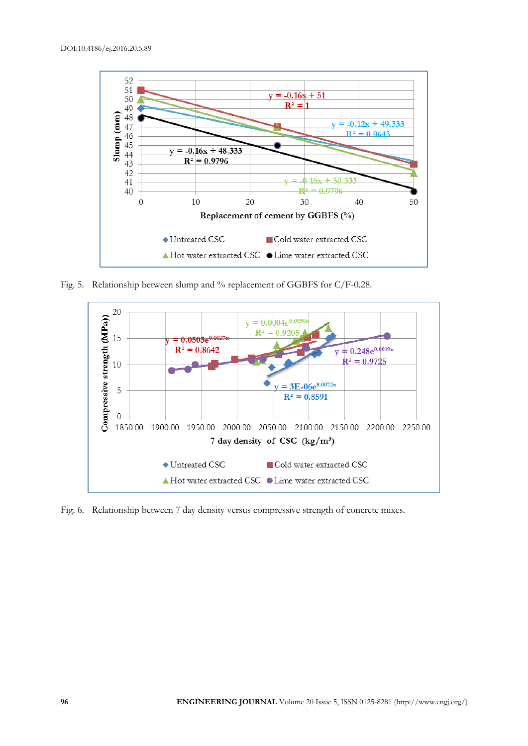

Fig. 5. Relationship between slump and % replacement of GGBFS for C/F-0.28.



Fig. 6. Relationship between 7 day density versus compressive strength of concrete mixes.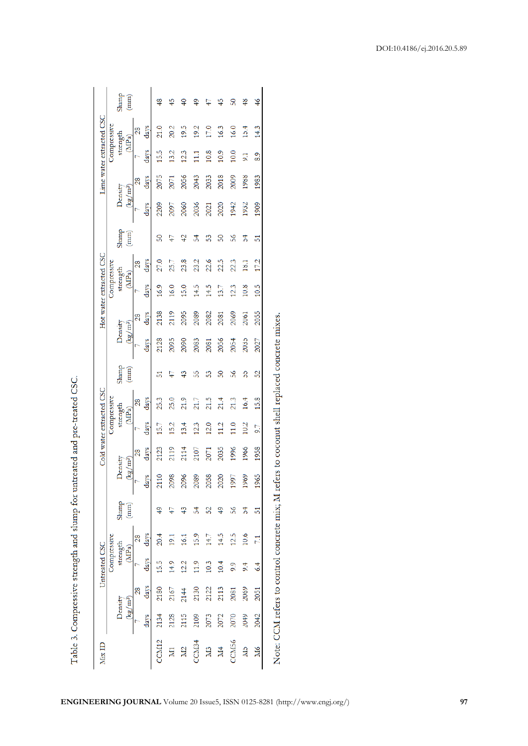| Mix ID                  |         |                      | Untreated CSC        |                |                                                                                                          |                                           |      |                  | Cold water extracted CSC |                                                           |                                           |                 | Hot water extracted CSC |                |                 |                                           | Lime water extracted CSC |                |                  |                                                           |
|-------------------------|---------|----------------------|----------------------|----------------|----------------------------------------------------------------------------------------------------------|-------------------------------------------|------|------------------|--------------------------|-----------------------------------------------------------|-------------------------------------------|-----------------|-------------------------|----------------|-----------------|-------------------------------------------|--------------------------|----------------|------------------|-----------------------------------------------------------|
|                         |         |                      | <b>Compressive</b>   |                |                                                                                                          |                                           |      | Compressive      |                          |                                                           |                                           |                 | Compressive             |                |                 |                                           |                          | Compressive    |                  |                                                           |
|                         | Density |                      | strength             |                |                                                                                                          | Density                                   |      | strength         |                          |                                                           | Density                                   |                 | strength                |                | Slump           | Density                                   |                          | strength       |                  |                                                           |
|                         |         | (kg/m <sup>3</sup> ) | (MPa)                |                | $\begin{pmatrix} \overline{\mathbf{u}} & \mathbf{u} \\ \overline{\mathbf{u}} & \mathbf{u} \end{pmatrix}$ | $\left( \mathrm{kg}/\mathrm{m}^3 \right)$ |      | (MPa)            |                          | $\begin{array}{c} \text{Sump} \\ \text{(mm)} \end{array}$ | $\left( \mathrm{kg}/\mathrm{m}^3 \right)$ |                 | (MP <sub>a</sub>        |                | (mm)            | $\left( \mathrm{kg}/\mathrm{m}^3 \right)$ |                          | (MPa)          |                  | $\begin{array}{c} \text{Sump} \\ \text{(mm)} \end{array}$ |
|                         |         |                      |                      | $\frac{28}{2}$ |                                                                                                          |                                           | 28   |                  | 28                       |                                                           |                                           | $\overline{28}$ |                         | 28             |                 |                                           | 28                       |                | 28               |                                                           |
|                         | days    | days                 | days                 | days           |                                                                                                          | $d$ a $\nabla$ s                          | days | days             | days                     |                                                           | days                                      | days            | days                    | days           |                 | days                                      | days                     | days           | days             |                                                           |
| CM12                    | 2134    | 2180                 | 15.5                 | 20.4           |                                                                                                          | $\overline{10}$                           | 2123 | 15.7             | 25.3                     | 51                                                        | 2128                                      | 2138            | 16.9                    | 27.0           | $\overline{50}$ | 2209                                      | 2075                     | 15.5           | $\frac{210}{21}$ | \$                                                        |
| $\overline{\mathbf{M}}$ | 2128    | 2167                 | 14.9                 | 191            |                                                                                                          | 2098                                      | 2119 | 15.2             | 25.0                     |                                                           | 2095                                      | 2119            | 16.0                    | 25.7           |                 | 2097                                      | 2071                     | 13.2           | 20.2             |                                                           |
| M2                      | 2115    | 2144                 | 12.2                 | 16.1           |                                                                                                          | 2096                                      | 2114 | 13.4             | 21.9                     |                                                           | 2090                                      | 2095            | 15.0                    | 23.8           | 42              | 2060                                      | 2056                     | 123            | 19.5             |                                                           |
| CCM <sub>34</sub>       | 2109    | 2130                 | 11.9                 | 15.9           | $\frac{4}{5}$                                                                                            | 2089                                      | 2107 | 123              | 21.7                     | ဢ                                                         | 2083                                      | 2089            | 14.5                    | 23.2           | 54              | 2036                                      | 2043                     | Ξ              | 19.2             |                                                           |
| M <sub>3</sub>          | 2073    | 2122                 | 0.3                  | 147            | $\overline{52}$                                                                                          | 2058                                      | 2071 | $\overline{2.0}$ | 21.5                     | ႜ႙                                                        | 2081                                      | 2082            | 14.5                    | 22.6           | အိ              | 2021                                      | 2033                     | 10.8           | $\overline{C}$   |                                                           |
| $\overline{M}4$         | 2072    | 2113                 | $\overline{0.4}$     | 14.5           |                                                                                                          | 2020                                      | 2035 | 12               | 21.4                     | ន                                                         | 2056                                      | 2081            | 13.7                    | 22.5           | $\overline{50}$ | 2020                                      | 2018                     | 10.9           | 16.3             |                                                           |
| CM <sub>56</sub>        | 2070    | 2081                 | $\frac{6}{2}$        | 12.5           | $\frac{8}{5}$                                                                                            | 1997                                      | 1996 | $\frac{0}{110}$  | 21.3                     | $\frac{8}{2}$                                             | 2054                                      | 2069            | 123                     | 22.3           | ೫               | 1942                                      | 2009                     | 10.0           | 16.0             | န္တ                                                       |
| <b>NL5</b>              | 2049    | 2069                 | $\frac{4}{3}$        | 10.6           | 3                                                                                                        | 1969                                      | 1966 | 10.2             | 16.4                     | 55                                                        | 2035                                      | 2061            | 10.8                    | $\frac{18}{1}$ | 54              | 1932                                      | 1988                     | $\overline{5}$ | 15.4             | $\frac{8}{3}$                                             |
| M <sub>6</sub>          | 2042    | 2051                 | $\ddot{\phantom{0}}$ |                | 51                                                                                                       | G5<br>$\tilde{e}$                         | 1958 | 97               | 15.8                     | 52                                                        | 2027                                      | 2055            | 10.5                    | 17.2           | 51              | 1909                                      | 1983                     | 8.9            | 14.3             | $\frac{46}{5}$                                            |
|                         |         |                      |                      |                |                                                                                                          |                                           |      |                  |                          |                                                           |                                           |                 |                         |                |                 |                                           |                          |                |                  |                                                           |

Table 3. Compressive strength and slump for untreated and pre-treated CSC.

Note: CCM refers to control concrete mix; M refers to coconut shell replaced concrete mixes.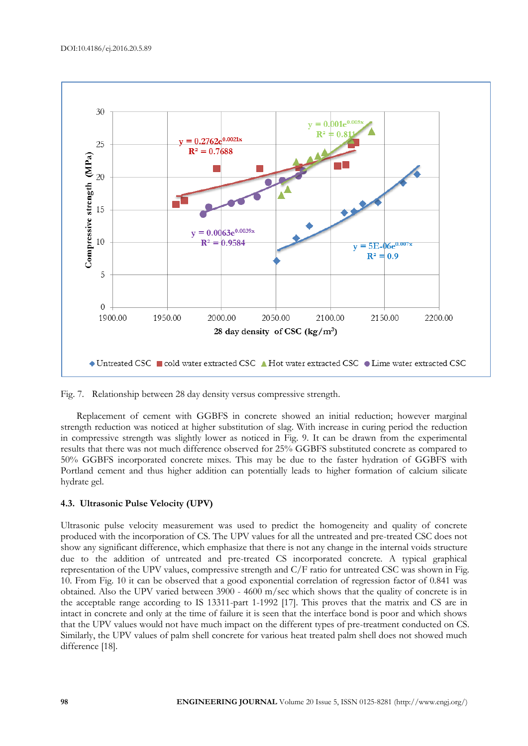

Fig. 7. Relationship between 28 day density versus compressive strength.

Replacement of cement with GGBFS in concrete showed an initial reduction; however marginal strength reduction was noticed at higher substitution of slag. With increase in curing period the reduction in compressive strength was slightly lower as noticed in Fig. 9. It can be drawn from the experimental results that there was not much difference observed for 25% GGBFS substituted concrete as compared to 50% GGBFS incorporated concrete mixes. This may be due to the faster hydration of GGBFS with Portland cement and thus higher addition can potentially leads to higher formation of calcium silicate hydrate gel.

#### **4.3. Ultrasonic Pulse Velocity (UPV)**

Ultrasonic pulse velocity measurement was used to predict the homogeneity and quality of concrete produced with the incorporation of CS. The UPV values for all the untreated and pre-treated CSC does not show any significant difference, which emphasize that there is not any change in the internal voids structure due to the addition of untreated and pre-treated CS incorporated concrete. A typical graphical representation of the UPV values, compressive strength and C/F ratio for untreated CSC was shown in Fig. 10. From Fig. 10 it can be observed that a good exponential correlation of regression factor of 0.841 was obtained. Also the UPV varied between 3900 - 4600 m/sec which shows that the quality of concrete is in the acceptable range according to IS 13311-part 1-1992 [17]. This proves that the matrix and CS are in intact in concrete and only at the time of failure it is seen that the interface bond is poor and which shows that the UPV values would not have much impact on the different types of pre-treatment conducted on CS. Similarly, the UPV values of palm shell concrete for various heat treated palm shell does not showed much difference [18].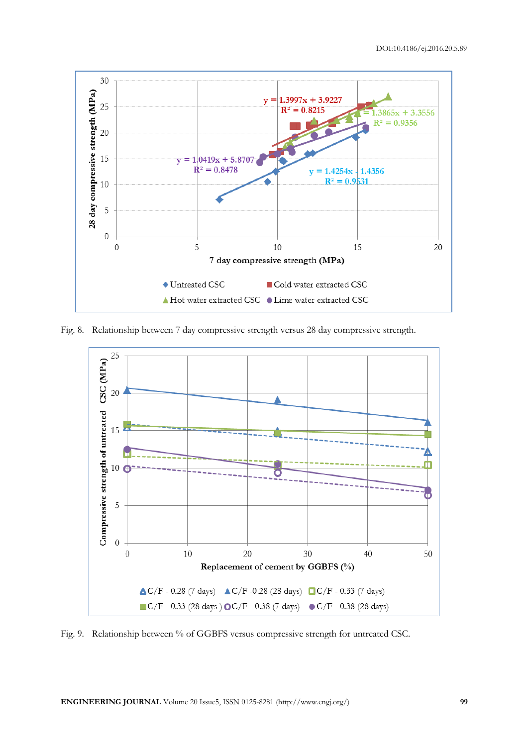

Fig. 8. Relationship between 7 day compressive strength versus 28 day compressive strength.



Fig. 9. Relationship between % of GGBFS versus compressive strength for untreated CSC.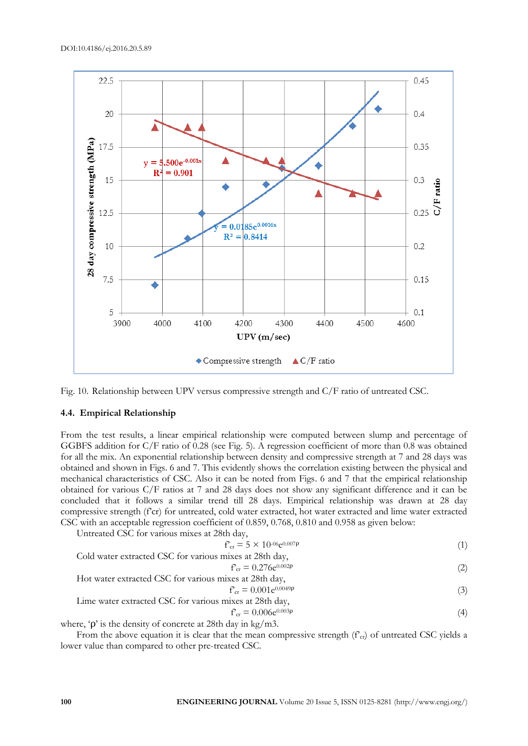

Fig. 10. Relationship between UPV versus compressive strength and C/F ratio of untreated CSC.

#### **4.4. Empirical Relationship**

From the test results, a linear empirical relationship were computed between slump and percentage of GGBFS addition for C/F ratio of 0.28 (see Fig. 5). A regression coefficient of more than 0.8 was obtained for all the mix. An exponential relationship between density and compressive strength at 7 and 28 days was obtained and shown in Figs. 6 and 7. This evidently shows the correlation existing between the physical and mechanical characteristics of CSC. Also it can be noted from Figs. 6 and 7 that the empirical relationship obtained for various C/F ratios at 7 and 28 days does not show any significant difference and it can be concluded that it follows a similar trend till 28 days. Empirical relationship was drawn at 28 day compressive strength (f'cr) for untreated, cold water extracted, hot water extracted and lime water extracted CSC with an acceptable regression coefficient of 0.859, 0.768, 0.810 and 0.958 as given below:

Untreated CSC for various mixes at 28th day,

$$
f_{\rm cr} = 5 \times 10^{-06} \rm e^{0.007} \rm P \tag{1}
$$

Cold water extracted CSC for various mixes at 28th day,

\n
$$
f_{cr} = 0.276e^{0.002p}
$$
\n(2)

Hot water extracted CSC for various mixes at 28th day,

$$
f_{cr} = 0.001e^{0.0049p} \tag{3}
$$

Line water extracted CSC for various mixes at 28th day,

\n
$$
f_{cr} = 0.006e^{0.003p}
$$
\n(4)

$$
f_{\rm cr} = 0.006e^{0.003p}
$$

where, 'ρ' is the density of concrete at 28th day in kg/m3.

From the above equation it is clear that the mean compressive strength ( $f<sub>cr</sub>$ ) of untreated CSC yields a lower value than compared to other pre-treated CSC.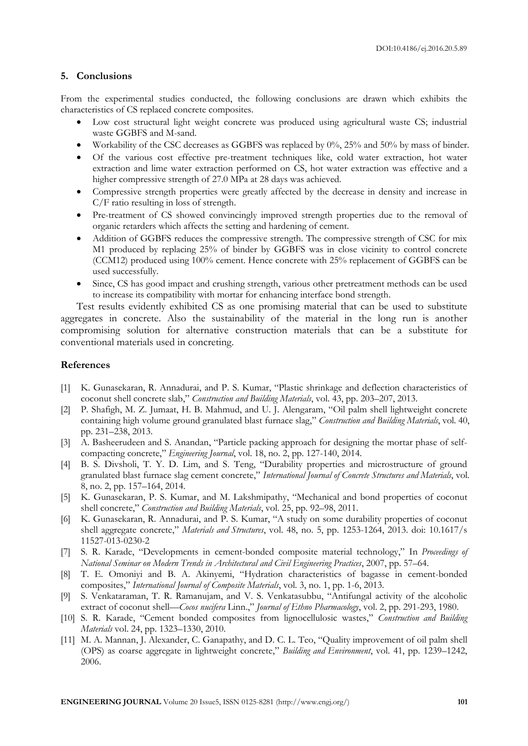# **5. Conclusions**

From the experimental studies conducted, the following conclusions are drawn which exhibits the characteristics of CS replaced concrete composites.

- Low cost structural light weight concrete was produced using agricultural waste CS; industrial waste GGBFS and M-sand.
- Workability of the CSC decreases as GGBFS was replaced by 0%, 25% and 50% by mass of binder.
- Of the various cost effective pre-treatment techniques like, cold water extraction, hot water extraction and lime water extraction performed on CS, hot water extraction was effective and a higher compressive strength of 27.0 MPa at 28 days was achieved.
- Compressive strength properties were greatly affected by the decrease in density and increase in C/F ratio resulting in loss of strength.
- Pre-treatment of CS showed convincingly improved strength properties due to the removal of organic retarders which affects the setting and hardening of cement.
- Addition of GGBFS reduces the compressive strength. The compressive strength of CSC for mix M1 produced by replacing 25% of binder by GGBFS was in close vicinity to control concrete (CCM12) produced using 100% cement. Hence concrete with 25% replacement of GGBFS can be used successfully.
- Since, CS has good impact and crushing strength, various other pretreatment methods can be used to increase its compatibility with mortar for enhancing interface bond strength.

Test results evidently exhibited CS as one promising material that can be used to substitute aggregates in concrete. Also the sustainability of the material in the long run is another compromising solution for alternative construction materials that can be a substitute for conventional materials used in concreting.

#### **References**

- [1] K. Gunasekaran, R. Annadurai, and P. S. Kumar, "Plastic shrinkage and deflection characteristics of coconut shell concrete slab," *Construction and Building Materials*, vol. 43, pp. 203–207, 2013.
- [2] P. Shafigh, M. Z. Jumaat, H. B. Mahmud, and U. J. Alengaram, "Oil palm shell lightweight concrete containing high volume ground granulated blast furnace slag," *Construction and Building Materials*, vol. 40, pp. 231–238, 2013.
- [3] A. Basheerudeen and S. Anandan, "[Particle packing approach for designing the mortar phase of self](http://www.scopus.com/record/display.uri?eid=2-s2.0-84899761855&origin=resultslist&sort=plf-f&src=s&st1=sivakumar&st2=&nlo=1&nlr=20&nls=count-f&sid=5C3F5600850E48AD9ED517FF78A3F3ED.FZg2ODcJC9ArCe8WOZPvA%3a1123&sot=anl&sdt=aut&sl=39&s=AU-ID%28%22Sivakumar%2c+Anandan%22+55578612200%29&relpos=2&citeCnt=0&searchTerm=AU-ID%28%5C%26quot%3BSivakumar%2C+Anandan%5C%26quot%3B+55578612200%29)[compacting concrete,](http://www.scopus.com/record/display.uri?eid=2-s2.0-84899761855&origin=resultslist&sort=plf-f&src=s&st1=sivakumar&st2=&nlo=1&nlr=20&nls=count-f&sid=5C3F5600850E48AD9ED517FF78A3F3ED.FZg2ODcJC9ArCe8WOZPvA%3a1123&sot=anl&sdt=aut&sl=39&s=AU-ID%28%22Sivakumar%2c+Anandan%22+55578612200%29&relpos=2&citeCnt=0&searchTerm=AU-ID%28%5C%26quot%3BSivakumar%2C+Anandan%5C%26quot%3B+55578612200%29)" *[Engineering Journal](http://www.scopus.com/source/sourceInfo.uri?sourceId=21100197000&origin=resultslist)*, vol. 18, no. 2, pp. 127-140, 2014.
- [4] B. S. Divsholi, T. Y. D. Lim, and S. Teng, "Durability properties and microstructure of ground granulated blast furnace slag cement concrete," *International Journal of Concrete Structures and Materials*, vol. 8, no. 2, pp. 157–164, 2014.
- [5] K. Gunasekaran, P. S. Kumar, and M. Lakshmipathy, "Mechanical and bond properties of coconut shell concrete," *Construction and Building Materials*, vol. 25, pp. 92–98, 2011.
- [6] K. Gunasekaran, R. Annadurai, and P. S. Kumar, "A study on some durability properties of coconut shell aggregate concrete," *Materials and Structures*, vol. 48, no. 5, pp. 1253-1264, 2013. doi: 10.1617/s 11527-013-0230-2
- [7] S. R. Karade, "Developments in cement-bonded composite material technology," In *Proceedings of National Seminar on Modern Trends in Architectural and Civil Engineering Practices*, 2007, pp. 57–64.
- [8] T. E. Omoniyi and B. A. Akinyemi, "Hydration characteristics of bagasse in cement-bonded composites," *International Journal of Composite Materials*, vol. 3, no. 1, pp. 1-6, 2013.
- [9] S. Venkataraman, T. R. Ramanujam, and V. S. Venkatasubbu, "Antifungal activity of the alcoholic extract of coconut shell—*Cocos nucifera* Linn.," *Journal of Ethno Pharmacology*, vol. 2, pp. 291-293, 1980.
- [10] S. R. Karade, "Cement bonded composites from lignocellulosic wastes," *Construction and Building Materials* vol. 24, pp. 1323–1330, 2010.
- [11] M. A. Mannan, J. Alexander, C. Ganapathy, and D. C. L. Teo, "Quality improvement of oil palm shell (OPS) as coarse aggregate in lightweight concrete," *Building and Environment*, vol. 41, pp. 1239–1242, 2006.